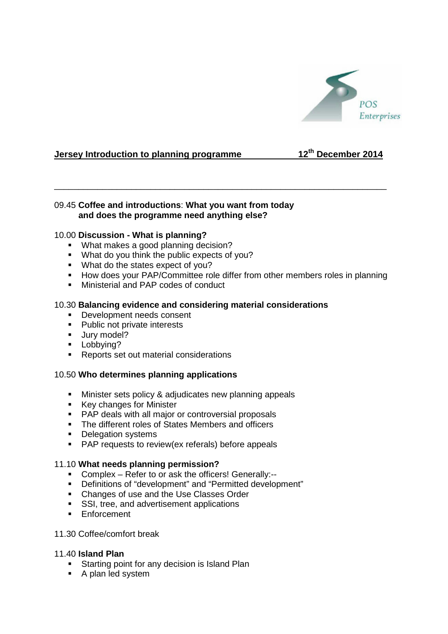

# **Jersey Introduction to planning programme 12th December 2014**

# 09.45 **Coffee and introductions**: **What you want from today and does the programme need anything else?**

# 10.00 **Discussion - What is planning?**

- **What makes a good planning decision?**
- What do you think the public expects of you?
- What do the states expect of you?
- **How does your PAP/Committee role differ from other members roles in planning**

\_\_\_\_\_\_\_\_\_\_\_\_\_\_\_\_\_\_\_\_\_\_\_\_\_\_\_\_\_\_\_\_\_\_\_\_\_\_\_\_\_\_\_\_\_\_\_\_\_\_\_\_\_\_\_\_\_\_\_\_\_\_\_\_\_\_\_\_\_

**Ministerial and PAP codes of conduct** 

## 10.30 **Balancing evidence and considering material considerations**

- Development needs consent
- Public not private interests
- **Jury model?**
- **Lobbying?**
- **Reports set out material considerations**

# 10.50 **Who determines planning applications**

- **Minister sets policy & adjudicates new planning appeals**
- Key changes for Minister
- PAP deals with all major or controversial proposals
- The different roles of States Members and officers
- Delegation systems
- **PAP** requests to review(ex referals) before appeals

#### 11.10 **What needs planning permission?**

- Complex Refer to or ask the officers! Generally:--
- Definitions of "development" and "Permitted development"
- Changes of use and the Use Classes Order
- SSI, tree, and advertisement applications
- **F**nforcement

## 11.30 Coffee/comfort break

## 11.40 **Island Plan**

- **Starting point for any decision is Island Plan**
- A plan led system